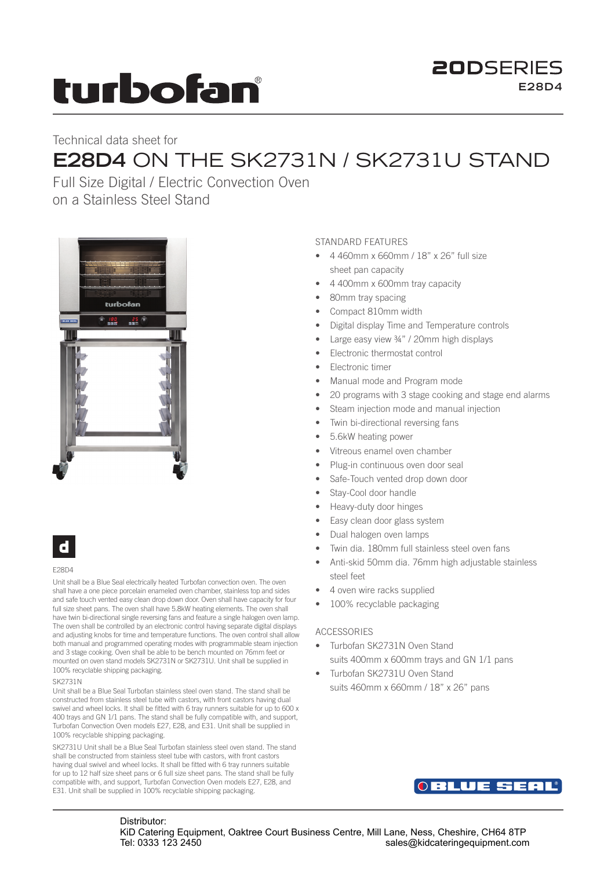# turbofan

### **20DSERIES E28D4**

## Technical data sheet for **E28D4** ON THE SK2731N / SK2731U STAND

Full Size Digital / Electric Convection Oven on a Stainless Steel Stand



## d

#### E28D4

Unit shall be a Blue Seal electrically heated Turbofan convection oven. The oven shall have a one piece porcelain enameled oven chamber, stainless top and sides and safe touch vented easy clean drop down door. Oven shall have capacity for four full size sheet pans. The oven shall have 5.8kW heating elements. The oven shall have twin bi-directional single reversing fans and feature a single halogen oven lamp. The oven shall be controlled by an electronic control having separate digital displays and adjusting knobs for time and temperature functions. The oven control shall allow both manual and programmed operating modes with programmable steam injection and 3 stage cooking. Oven shall be able to be bench mounted on 76mm feet or mounted on oven stand models SK2731N or SK2731U. Unit shall be supplied in 100% recyclable shipping packaging.

#### SK2731N

Unit shall be a Blue Seal Turbofan stainless steel oven stand. The stand shall be constructed from stainless steel tube with castors, with front castors having dual swivel and wheel locks. It shall be fitted with 6 tray runners suitable for up to 600 x 400 trays and GN 1/1 pans. The stand shall be fully compatible with, and support, Turbofan Convection Oven models E27, E28, and E31. Unit shall be supplied in 100% recyclable shipping packaging.

SK2731U Unit shall be a Blue Seal Turbofan stainless steel oven stand. The stand shall be constructed from stainless steel tube with castors, with front castors having dual swivel and wheel locks. It shall be fitted with 6 tray runners suitable for up to 12 half size sheet pans or 6 full size sheet pans. The stand shall be fully compatible with, and support, Turbofan Convection Oven models E27, E28, and E31. Unit shall be supplied in 100% recyclable shipping packaging.

#### STANDARD FEATURES

- 4 460mm x 660mm / 18" x 26" full size sheet pan capacity
- 4 400mm x 600mm tray capacity
- 80mm tray spacing
- Compact 810mm width
- Digital display Time and Temperature controls
- Large easy view ¾" / 20mm high displays
- Electronic thermostat control
- Electronic timer
- Manual mode and Program mode
- 20 programs with 3 stage cooking and stage end alarms
- Steam injection mode and manual injection
- Twin bi-directional reversing fans
- 5.6kW heating power
- Vitreous enamel oven chamber
- Plug-in continuous oven door seal
- Safe-Touch vented drop down door
- Stay-Cool door handle
- Heavy-duty door hinges
- Easy clean door glass system
- Dual halogen oven lamps
- Twin dia. 180mm full stainless steel oven fans
- Anti-skid 50mm dia. 76mm high adjustable stainless steel feet
- 4 oven wire racks supplied
- 100% recyclable packaging

#### ACCESSORIES

- Turbofan SK2731N Oven Stand suits 400mm x 600mm trays and GN 1/1 pans
- Turbofan SK2731U Oven Stand suits 460mm x 660mm / 18" x 26" pans